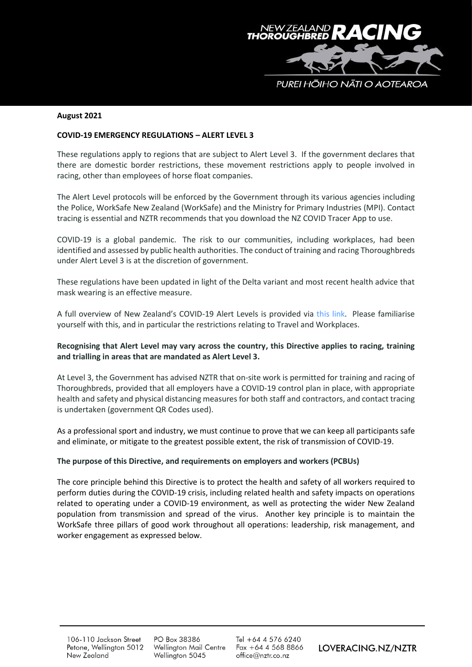

#### **August 2021**

### **COVID-19 EMERGENCY REGULATIONS – ALERT LEVEL 3**

These regulations apply to regions that are subject to Alert Level 3. If the government declares that there are domestic border restrictions, these movement restrictions apply to people involved in racing, other than employees of horse float companies.

The Alert Level protocols will be enforced by the Government through its various agencies including the Police, WorkSafe New Zealand (WorkSafe) and the Ministry for Primary Industries (MPI). Contact tracing is essential and NZTR recommends that you download the NZ COVID Tracer App to use.

COVID-19 is a global pandemic. The risk to our communities, including workplaces, had been identified and assessed by public health authorities. The conduct of training and racing Thoroughbreds under Alert Level 3 is at the discretion of government.

These regulations have been updated in light of the Delta variant and most recent health advice that mask wearing is an effective measure.

A full overview of New Zealand's COVID-19 Alert Levels is provided via [this link.](https://covid19.govt.nz/covid-19/alert-system/) Please familiarise yourself with this, and in particular the restrictions relating to Travel and Workplaces.

# **Recognising that Alert Level may vary across the country, this Directive applies to racing, training and trialling in areas that are mandated as Alert Level 3.**

At Level 3, the Government has advised NZTR that on-site work is permitted for training and racing of Thoroughbreds, provided that all employers have a COVID-19 control plan in place, with appropriate health and safety and physical distancing measures for both staff and contractors, and contact tracing is undertaken (government QR Codes used).

As a professional sport and industry, we must continue to prove that we can keep all participants safe and eliminate, or mitigate to the greatest possible extent, the risk of transmission of COVID-19.

# **The purpose of this Directive, and requirements on employers and workers (PCBUs)**

The core principle behind this Directive is to protect the health and safety of all workers required to perform duties during the COVID-19 crisis, including related health and safety impacts on operations related to operating under a COVID-19 environment, as well as protecting the wider New Zealand population from transmission and spread of the virus. Another key principle is to maintain the WorkSafe three pillars of good work throughout all operations: leadership, risk management, and worker engagement as expressed below.

PO Box 38386 Wellington Mail Centre Wellington 5045

Tel +64 4 576 6240  $Fax + 6445688866$ office@nztr.co.nz

LOVERACING.NZ/NZTR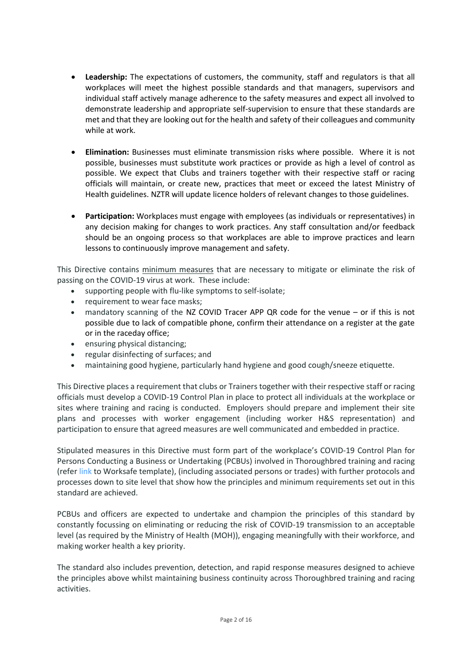- **Leadership:** The expectations of customers, the community, staff and regulators is that all workplaces will meet the highest possible standards and that managers, supervisors and individual staff actively manage adherence to the safety measures and expect all involved to demonstrate leadership and appropriate self-supervision to ensure that these standards are met and that they are looking out for the health and safety of their colleagues and community while at work.
- **Elimination:** Businesses must eliminate transmission risks where possible. Where it is not possible, businesses must substitute work practices or provide as high a level of control as possible. We expect that Clubs and trainers together with their respective staff or racing officials will maintain, or create new, practices that meet or exceed the latest Ministry of Health guidelines. NZTR will update licence holders of relevant changes to those guidelines.
- **Participation:** Workplaces must engage with employees (as individuals or representatives) in any decision making for changes to work practices. Any staff consultation and/or feedback should be an ongoing process so that workplaces are able to improve practices and learn lessons to continuously improve management and safety.

This Directive contains minimum measures that are necessary to mitigate or eliminate the risk of passing on the COVID-19 virus at work. These include:

- supporting people with flu-like symptoms to self-isolate;
- requirement to wear face masks;
- mandatory scanning of the NZ COVID Tracer APP QR code for the venue or if this is not possible due to lack of compatible phone, confirm their attendance on a register at the gate or in the raceday office;
- ensuring physical distancing;
- regular disinfecting of surfaces; and
- maintaining good hygiene, particularly hand hygiene and good cough/sneeze etiquette.

This Directive places a requirement that clubs or Trainers together with their respective staff or racing officials must develop a COVID-19 Control Plan in place to protect all individuals at the workplace or sites where training and racing is conducted. Employers should prepare and implement their site plans and processes with worker engagement (including worker H&S representation) and participation to ensure that agreed measures are well communicated and embedded in practice.

Stipulated measures in this Directive must form part of the workplace's COVID-19 Control Plan for Persons Conducting a Business or Undertaking (PCBUs) involved in Thoroughbred training and racing (refer [link](https://worksafe.govt.nz/dmsdocument/27557-covid-19-safely-plan-template-word-version/latest) to Worksafe template), (including associated persons or trades) with further protocols and processes down to site level that show how the principles and minimum requirements set out in this standard are achieved.

PCBUs and officers are expected to undertake and champion the principles of this standard by constantly focussing on eliminating or reducing the risk of COVID-19 transmission to an acceptable level (as required by the Ministry of Health (MOH)), engaging meaningfully with their workforce, and making worker health a key priority.

The standard also includes prevention, detection, and rapid response measures designed to achieve the principles above whilst maintaining business continuity across Thoroughbred training and racing activities.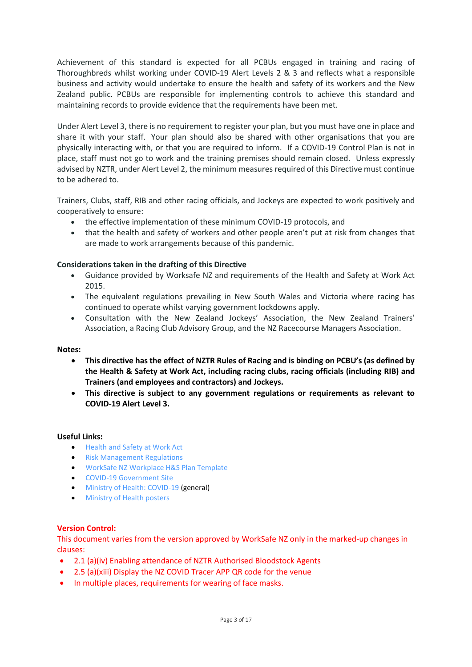Achievement of this standard is expected for all PCBUs engaged in training and racing of Thoroughbreds whilst working under COVID-19 Alert Levels 2 & 3 and reflects what a responsible business and activity would undertake to ensure the health and safety of its workers and the New Zealand public. PCBUs are responsible for implementing controls to achieve this standard and maintaining records to provide evidence that the requirements have been met.

Under Alert Level 3, there is no requirement to register your plan, but you must have one in place and share it with your staff. Your plan should also be shared with other organisations that you are physically interacting with, or that you are required to inform. If a COVID-19 Control Plan is not in place, staff must not go to work and the training premises should remain closed. Unless expressly advised by NZTR, under Alert Level 2, the minimum measures required of this Directive must continue to be adhered to.

Trainers, Clubs, staff, RIB and other racing officials, and Jockeys are expected to work positively and cooperatively to ensure:

- the effective implementation of these minimum COVID-19 protocols, and
- that the health and safety of workers and other people aren't put at risk from changes that are made to work arrangements because of this pandemic.

# **Considerations taken in the drafting of this Directive**

- Guidance provided by Worksafe NZ and requirements of the Health and Safety at Work Act 2015.
- The equivalent regulations prevailing in New South Wales and Victoria where racing has continued to operate whilst varying government lockdowns apply.
- Consultation with the New Zealand Jockeys' Association, the New Zealand Trainers' Association, a Racing Club Advisory Group, and the NZ Racecourse Managers Association.

# **Notes:**

- **This directive has the effect of NZTR Rules of Racing and is binding on PCBU's (as defined by the Health & Safety at Work Act, including racing clubs, racing officials (including RIB) and Trainers (and employees and contractors) and Jockeys.**
- **This directive is subject to any government regulations or requirements as relevant to COVID-19 Alert Level 3.**

# **Useful Links:**

- [Health and Safety at Work Act](http://www.legislation.govt.nz/act/public/2015/0070/latest/DLM5976660.html)
- [Risk Management Regulations](http://www.legislation.govt.nz/regulation/public/2016/0013/latest/DLM6727530.html)
- WorkSafe [NZ Workplace H&S Plan Template](https://worksafe.govt.nz/dmsdocument/27992-covid-19-safety-plan-template-for-operating-at-alert-level-2-pdf-version/latest)
- [COVID-19 Government Site](https://covid19.govt.nz/?gclid=CjwKCAjw7LX0BRBiEiwA__gNw9g5Nqrydzgxe6_CiZZLhC8tEc25Cp7XpB7ruEwuTx3zd_qR_bUqGhoCIm8QAvD_BwE)
- [Ministry of Health: COVID-19](https://www.health.govt.nz/our-work/diseases-and-conditions/covid-19-novel-coronavirus) (general)
- [Ministry of Health posters](https://www.health.govt.nz/our-work/diseases-and-conditions/covid-19-novel-coronavirus/covid-19-novel-coronavirus-resources#posters)

# **Version Control:**

This document varies from the version approved by WorkSafe NZ only in the marked-up changes in clauses:

- 2.1 (a)(iv) Enabling attendance of NZTR Authorised Bloodstock Agents
- 2.5 (a)(xiii) Display the NZ COVID Tracer APP QR code for the venue
- In multiple places, requirements for wearing of face masks.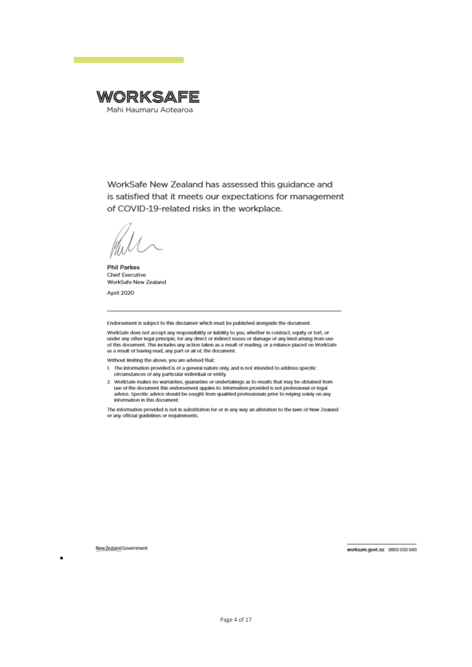

WorkSafe New Zealand has assessed this guidance and is satisfied that it meets our expectations for management of COVID-19-related risks in the workplace.

**Phil Parkes Chief Executive** WorkSafe New Zealand

April 2020

Endorsement is subject to this disclaimer which must be published alongside the document.

WorkSafe does not accept any responsibility or liability to you, whether in contract, equity or tort, or violence any other legal principle, for any direct or indirect losses or damage of any kind arising from use<br>of this document. This includes any action taken as a result of reading, or a reliance placed on WorkSafe as a result of having read, any part or all of, the document.

Without limiting the above, you are advised that:

- 1. The information provided is of a general nature only, and is not intended to address specific circumstances of any particular individual or entity.
- 2. WorkSafe makes no warranties, guaranties or undertakings as to results that may be obtained from use of the document this endorsement applies to. Information provided is not professional or legal<br>advice. Specific advice should be sought from qualified professionals prior to relying solely on any information in this document.

The information provided is not in substitution for or in any way an alteration to the laws of New Zealand or any official guidelines or requirements.

New Zealand Government

•

worksafe.govt.nz 0800 030 040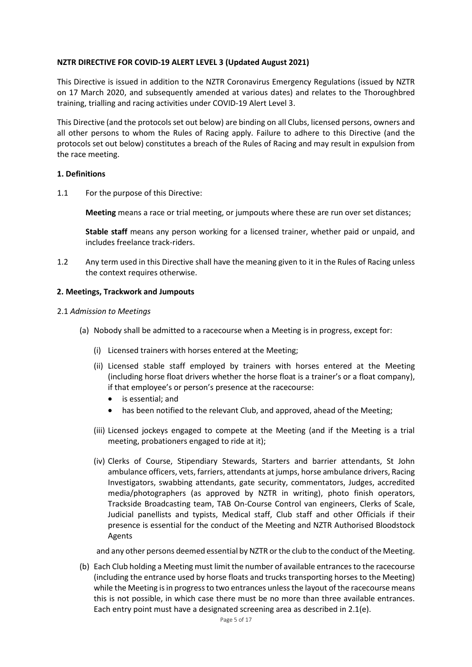# **NZTR DIRECTIVE FOR COVID-19 ALERT LEVEL 3 (Updated August 2021)**

This Directive is issued in addition to the NZTR Coronavirus Emergency Regulations (issued by NZTR on 17 March 2020, and subsequently amended at various dates) and relates to the Thoroughbred training, trialling and racing activities under COVID-19 Alert Level 3.

This Directive (and the protocols set out below) are binding on all Clubs, licensed persons, owners and all other persons to whom the Rules of Racing apply. Failure to adhere to this Directive (and the protocols set out below) constitutes a breach of the Rules of Racing and may result in expulsion from the race meeting.

# **1. Definitions**

1.1 For the purpose of this Directive:

**Meeting** means a race or trial meeting, or jumpouts where these are run over set distances;

**Stable staff** means any person working for a licensed trainer, whether paid or unpaid, and includes freelance track-riders.

1.2 Any term used in this Directive shall have the meaning given to it in the Rules of Racing unless the context requires otherwise.

# **2. Meetings, Trackwork and Jumpouts**

- 2.1 *Admission to Meetings*
	- (a) Nobody shall be admitted to a racecourse when a Meeting is in progress, except for:
		- (i) Licensed trainers with horses entered at the Meeting;
		- (ii) Licensed stable staff employed by trainers with horses entered at the Meeting (including horse float drivers whether the horse float is a trainer's or a float company), if that employee's or person's presence at the racecourse:
			- is essential; and
			- has been notified to the relevant Club, and approved, ahead of the Meeting;
		- (iii) Licensed jockeys engaged to compete at the Meeting (and if the Meeting is a trial meeting, probationers engaged to ride at it);
		- (iv) Clerks of Course, Stipendiary Stewards, Starters and barrier attendants, St John ambulance officers, vets, farriers, attendants at jumps, horse ambulance drivers, Racing Investigators, swabbing attendants, gate security, commentators, Judges, accredited media/photographers (as approved by NZTR in writing), photo finish operators, Trackside Broadcasting team, TAB On-Course Control van engineers, Clerks of Scale, Judicial panellists and typists, Medical staff, Club staff and other Officials if their presence is essential for the conduct of the Meeting and NZTR Authorised Bloodstock Agents

and any other persons deemed essential by NZTR or the club to the conduct of the Meeting.

(b) Each Club holding a Meeting must limit the number of available entrances to the racecourse (including the entrance used by horse floats and trucks transporting horses to the Meeting) while the Meeting is in progress to two entrances unless the layout of the racecourse means this is not possible, in which case there must be no more than three available entrances. Each entry point must have a designated screening area as described in 2.1(e).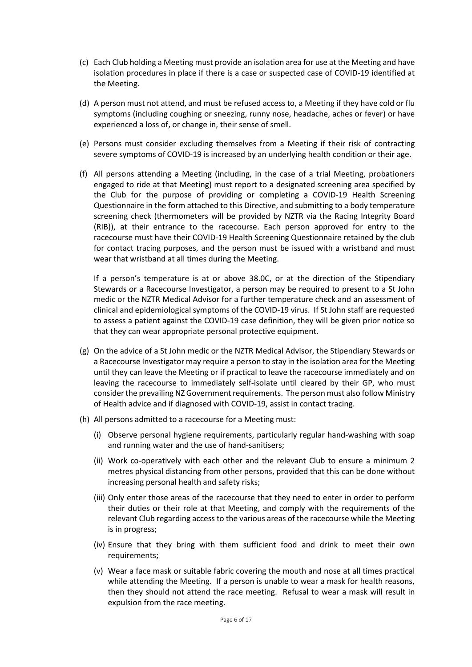- (c) Each Club holding a Meeting must provide an isolation area for use at the Meeting and have isolation procedures in place if there is a case or suspected case of COVID-19 identified at the Meeting.
- (d) A person must not attend, and must be refused access to, a Meeting if they have cold or flu symptoms (including coughing or sneezing, runny nose, headache, aches or fever) or have experienced a loss of, or change in, their sense of smell.
- (e) Persons must consider excluding themselves from a Meeting if their risk of contracting severe symptoms of COVID-19 is increased by an underlying health condition or their age.
- (f) All persons attending a Meeting (including, in the case of a trial Meeting, probationers engaged to ride at that Meeting) must report to a designated screening area specified by the Club for the purpose of providing or completing a COVID-19 Health Screening Questionnaire in the form attached to this Directive, and submitting to a body temperature screening check (thermometers will be provided by NZTR via the Racing Integrity Board (RIB)), at their entrance to the racecourse. Each person approved for entry to the racecourse must have their COVID-19 Health Screening Questionnaire retained by the club for contact tracing purposes, and the person must be issued with a wristband and must wear that wristband at all times during the Meeting.

If a person's temperature is at or above 38.0C, or at the direction of the Stipendiary Stewards or a Racecourse Investigator, a person may be required to present to a St John medic or the NZTR Medical Advisor for a further temperature check and an assessment of clinical and epidemiological symptoms of the COVID-19 virus. If St John staff are requested to assess a patient against the COVID-19 case definition, they will be given prior notice so that they can wear appropriate personal protective equipment.

- (g) On the advice of a St John medic or the NZTR Medical Advisor, the Stipendiary Stewards or a Racecourse Investigator may require a person to stay in the isolation area for the Meeting until they can leave the Meeting or if practical to leave the racecourse immediately and on leaving the racecourse to immediately self-isolate until cleared by their GP, who must consider the prevailing NZ Government requirements. The person must also follow Ministry of Health advice and if diagnosed with COVID-19, assist in contact tracing.
- (h) All persons admitted to a racecourse for a Meeting must:
	- (i) Observe personal hygiene requirements, particularly regular hand-washing with soap and running water and the use of hand-sanitisers;
	- (ii) Work co-operatively with each other and the relevant Club to ensure a minimum 2 metres physical distancing from other persons, provided that this can be done without increasing personal health and safety risks;
	- (iii) Only enter those areas of the racecourse that they need to enter in order to perform their duties or their role at that Meeting, and comply with the requirements of the relevant Club regarding access to the various areas of the racecourse while the Meeting is in progress;
	- (iv) Ensure that they bring with them sufficient food and drink to meet their own requirements;
	- (v) Wear a face mask or suitable fabric covering the mouth and nose at all times practical while attending the Meeting. If a person is unable to wear a mask for health reasons, then they should not attend the race meeting. Refusal to wear a mask will result in expulsion from the race meeting.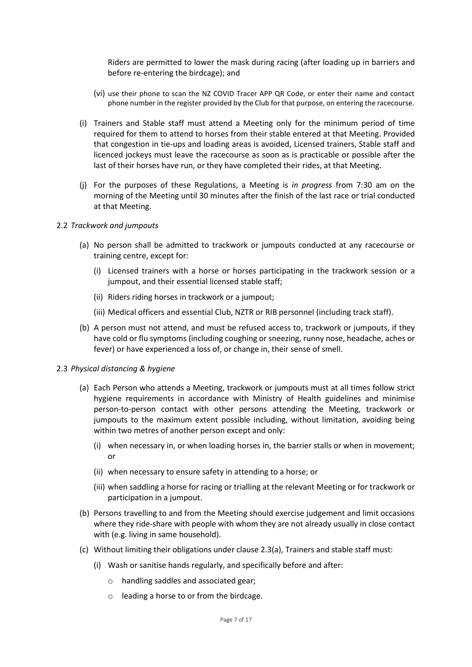Riders are permitted to lower the mask during racing (after loading up in barriers and before re-entering the birdcage); and

- (vi) use their phone to scan the NZ COVID Tracer APP QR Code, or enter their name and contact phone number in the register provided by the Club for that purpose, on entering the racecourse.
- (i) Trainers and Stable staff must attend a Meeting only for the minimum period of time required for them to attend to horses from their stable entered at that Meeting. Provided that congestion in tie-ups and loading areas is avoided, Licensed trainers, Stable staff and licenced jockeys must leave the racecourse as soon as is practicable or possible after the last of their horses have run, or they have completed their rides, at that Meeting.
- (j) For the purposes of these Regulations, a Meeting is *in progress* from 7:30 am on the morning of the Meeting until 30 minutes after the finish of the last race or trial conducted at that Meeting.

#### 2.2 *Trackwork and jumpouts*

- (a) No person shall be admitted to trackwork or jumpouts conducted at any racecourse or training centre, except for:
	- (i) Licensed trainers with a horse or horses participating in the trackwork session or a jumpout, and their essential licensed stable staff;
	- (ii) Riders riding horses in trackwork or a jumpout;
	- (iii) Medical officers and essential Club, NZTR or RIB personnel (including track staff).
- (b) A person must not attend, and must be refused access to, trackwork or jumpouts, if they have cold or flu symptoms (including coughing or sneezing, runny nose, headache, aches or fever) or have experienced a loss of, or change in, their sense of smell.

#### 2.3 *Physical distancing & hygiene*

- (a) Each Person who attends a Meeting, trackwork or jumpouts must at all times follow strict hygiene requirements in accordance with Ministry of Health guidelines and minimise person-to-person contact with other persons attending the Meeting, trackwork or jumpouts to the maximum extent possible including, without limitation, avoiding being within two metres of another person except and only:
	- (i) when necessary in, or when loading horses in, the barrier stalls or when in movement; or
	- (ii) when necessary to ensure safety in attending to a horse; or
	- (iii) when saddling a horse for racing or trialling at the relevant Meeting or for trackwork or participation in a jumpout.
- (b) Persons travelling to and from the Meeting should exercise judgement and limit occasions where they ride-share with people with whom they are not already usually in close contact with (e.g. living in same household).
- (c) Without limiting their obligations under clause 2.3(a), Trainers and stable staff must:
	- (i) Wash or sanitise hands regularly, and specifically before and after:
		- o handling saddles and associated gear;
		- o leading a horse to or from the birdcage.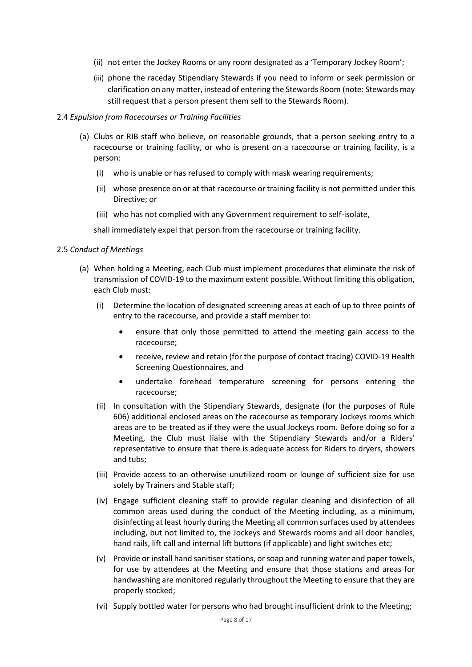- (ii) not enter the Jockey Rooms or any room designated as a 'Temporary Jockey Room';
- (iii) phone the raceday Stipendiary Stewards if you need to inform or seek permission or clarification on any matter, instead of entering the Stewards Room (note: Stewards may still request that a person present them self to the Stewards Room).

# 2.4 *Expulsion from Racecourses or Training Facilities*

- (a) Clubs or RIB staff who believe, on reasonable grounds, that a person seeking entry to a racecourse or training facility, or who is present on a racecourse or training facility, is a person:
	- (i) who is unable or has refused to comply with mask wearing requirements;
	- (ii) whose presence on or at that racecourse or training facility is not permitted under this Directive; or
	- (iii) who has not complied with any Government requirement to self-isolate,

shall immediately expel that person from the racecourse or training facility.

# 2.5 *Conduct of Meetings*

- (a) When holding a Meeting, each Club must implement procedures that eliminate the risk of transmission of COVID-19 to the maximum extent possible. Without limiting this obligation, each Club must:
	- (i) Determine the location of designated screening areas at each of up to three points of entry to the racecourse, and provide a staff member to:
		- ensure that only those permitted to attend the meeting gain access to the racecourse;
		- receive, review and retain (for the purpose of contact tracing) COVID-19 Health Screening Questionnaires, and
		- undertake forehead temperature screening for persons entering the racecourse;
	- (ii) In consultation with the Stipendiary Stewards, designate (for the purposes of Rule 606) additional enclosed areas on the racecourse as temporary Jockeys rooms which areas are to be treated as if they were the usual Jockeys room. Before doing so for a Meeting, the Club must liaise with the Stipendiary Stewards and/or a Riders' representative to ensure that there is adequate access for Riders to dryers, showers and tubs;
	- (iii) Provide access to an otherwise unutilized room or lounge of sufficient size for use solely by Trainers and Stable staff;
	- (iv) Engage sufficient cleaning staff to provide regular cleaning and disinfection of all common areas used during the conduct of the Meeting including, as a minimum, disinfecting at least hourly during the Meeting all common surfaces used by attendees including, but not limited to, the Jockeys and Stewards rooms and all door handles, hand rails, lift call and internal lift buttons (if applicable) and light switches etc;
	- (v) Provide or install hand sanitiser stations, or soap and running water and paper towels, for use by attendees at the Meeting and ensure that those stations and areas for handwashing are monitored regularly throughout the Meeting to ensure that they are properly stocked;
	- (vi) Supply bottled water for persons who had brought insufficient drink to the Meeting;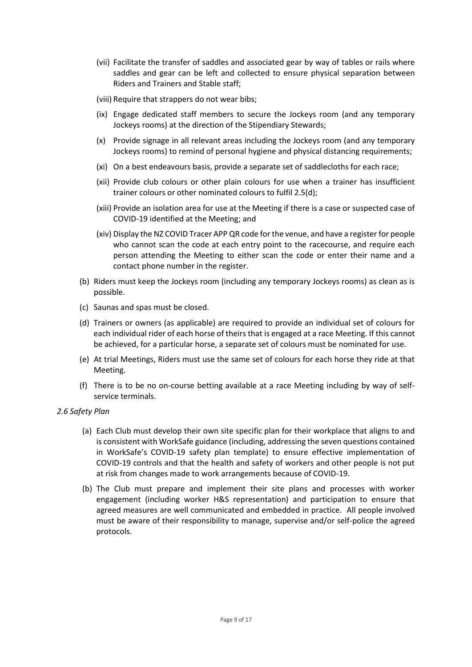- (vii) Facilitate the transfer of saddles and associated gear by way of tables or rails where saddles and gear can be left and collected to ensure physical separation between Riders and Trainers and Stable staff;
- (viii) Require that strappers do not wear bibs;
- (ix) Engage dedicated staff members to secure the Jockeys room (and any temporary Jockeys rooms) at the direction of the Stipendiary Stewards;
- (x) Provide signage in all relevant areas including the Jockeys room (and any temporary Jockeys rooms) to remind of personal hygiene and physical distancing requirements;
- (xi) On a best endeavours basis, provide a separate set of saddlecloths for each race;
- (xii) Provide club colours or other plain colours for use when a trainer has insufficient trainer colours or other nominated colours to fulfil 2.5(d);
- (xiii) Provide an isolation area for use at the Meeting if there is a case or suspected case of COVID-19 identified at the Meeting; and
- (xiv) Display the NZ COVID Tracer APP QR code for the venue, and have a register for people who cannot scan the code at each entry point to the racecourse, and require each person attending the Meeting to either scan the code or enter their name and a contact phone number in the register.
- (b) Riders must keep the Jockeys room (including any temporary Jockeys rooms) as clean as is possible.
- (c) Saunas and spas must be closed.
- (d) Trainers or owners (as applicable) are required to provide an individual set of colours for each individual rider of each horse of theirs that is engaged at a race Meeting. If this cannot be achieved, for a particular horse, a separate set of colours must be nominated for use.
- (e) At trial Meetings, Riders must use the same set of colours for each horse they ride at that Meeting.
- (f) There is to be no on-course betting available at a race Meeting including by way of selfservice terminals.

# *2.6 Safety Plan*

- (a) Each Club must develop their own site specific plan for their workplace that aligns to and is consistent with WorkSafe guidance (including, addressing the seven questions contained in WorkSafe's COVID-19 safety plan [template\)](https://worksafe.govt.nz/dmsdocument/27557-covid-19-safely-plan-template-word-version/latest) to ensure effective implementation of COVID-19 controls and that the health and safety of workers and other people is not put at risk from changes made to work arrangements because of COVID-19.
- (b) The Club must prepare and implement their site plans and processes with worker engagement (including worker H&S representation) and participation to ensure that agreed measures are well communicated and embedded in practice. All people involved must be aware of their responsibility to manage, supervise and/or self-police the agreed protocols.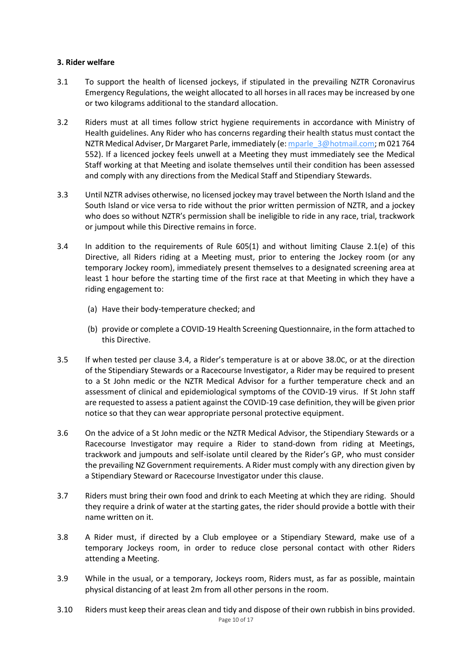# **3. Rider welfare**

- 3.1 To support the health of licensed jockeys, if stipulated in the prevailing NZTR Coronavirus Emergency Regulations, the weight allocated to all horses in all races may be increased by one or two kilograms additional to the standard allocation.
- 3.2 Riders must at all times follow strict hygiene requirements in accordance with Ministry of Health guidelines. Any Rider who has concerns regarding their health status must contact the NZTR Medical Adviser, Dr Margaret Parle, immediately (e: mparle 3@hotmail.com; m 021 764 552). If a licenced jockey feels unwell at a Meeting they must immediately see the Medical Staff working at that Meeting and isolate themselves until their condition has been assessed and comply with any directions from the Medical Staff and Stipendiary Stewards.
- 3.3 Until NZTR advises otherwise, no licensed jockey may travel between the North Island and the South Island or vice versa to ride without the prior written permission of NZTR, and a jockey who does so without NZTR's permission shall be ineligible to ride in any race, trial, trackwork or jumpout while this Directive remains in force.
- 3.4 In addition to the requirements of Rule 605(1) and without limiting Clause 2.1(e) of this Directive, all Riders riding at a Meeting must, prior to entering the Jockey room (or any temporary Jockey room), immediately present themselves to a designated screening area at least 1 hour before the starting time of the first race at that Meeting in which they have a riding engagement to:
	- (a) Have their body-temperature checked; and
	- (b) provide or complete a COVID-19 Health Screening Questionnaire, in the form attached to this Directive.
- 3.5 If when tested per clause 3.4, a Rider's temperature is at or above 38.0C, or at the direction of the Stipendiary Stewards or a Racecourse Investigator, a Rider may be required to present to a St John medic or the NZTR Medical Advisor for a further temperature check and an assessment of clinical and epidemiological symptoms of the COVID-19 virus. If St John staff are requested to assess a patient against the COVID-19 case definition, they will be given prior notice so that they can wear appropriate personal protective equipment.
- 3.6 On the advice of a St John medic or the NZTR Medical Advisor, the Stipendiary Stewards or a Racecourse Investigator may require a Rider to stand-down from riding at Meetings, trackwork and jumpouts and self-isolate until cleared by the Rider's GP, who must consider the prevailing NZ Government requirements. A Rider must comply with any direction given by a Stipendiary Steward or Racecourse Investigator under this clause.
- 3.7 Riders must bring their own food and drink to each Meeting at which they are riding. Should they require a drink of water at the starting gates, the rider should provide a bottle with their name written on it.
- 3.8 A Rider must, if directed by a Club employee or a Stipendiary Steward, make use of a temporary Jockeys room, in order to reduce close personal contact with other Riders attending a Meeting.
- 3.9 While in the usual, or a temporary, Jockeys room, Riders must, as far as possible, maintain physical distancing of at least 2m from all other persons in the room.
- Page 10 of 17 3.10 Riders must keep their areas clean and tidy and dispose of their own rubbish in bins provided.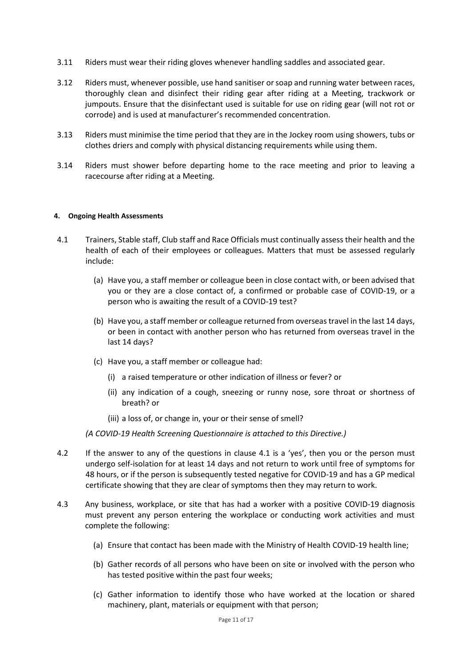- 3.11 Riders must wear their riding gloves whenever handling saddles and associated gear.
- 3.12 Riders must, whenever possible, use hand sanitiser or soap and running water between races, thoroughly clean and disinfect their riding gear after riding at a Meeting, trackwork or jumpouts. Ensure that the disinfectant used is suitable for use on riding gear (will not rot or corrode) and is used at manufacturer's recommended concentration.
- 3.13 Riders must minimise the time period that they are in the Jockey room using showers, tubs or clothes driers and comply with physical distancing requirements while using them.
- 3.14 Riders must shower before departing home to the race meeting and prior to leaving a racecourse after riding at a Meeting.

#### **4. Ongoing Health Assessments**

- 4.1 Trainers, Stable staff, Club staff and Race Officials must continually assess their health and the health of each of their employees or colleagues. Matters that must be assessed regularly include:
	- (a) Have you, a staff member or colleague been in close contact with, or been advised that you or they are a close contact of, a confirmed or probable case of COVID-19, or a person who is awaiting the result of a COVID-19 test?
	- (b) Have you, a staff member or colleague returned from overseas travel in the last 14 days, or been in contact with another person who has returned from overseas travel in the last 14 days?
	- (c) Have you, a staff member or colleague had:
		- (i) a raised temperature or other indication of illness or fever? or
		- (ii) any indication of a cough, sneezing or runny nose, sore throat or shortness of breath? or
		- (iii) a loss of, or change in, your or their sense of smell?

*(A COVID-19 Health Screening Questionnaire is attached to this Directive.)*

- 4.2 If the answer to any of the questions in clause 4.1 is a 'yes', then you or the person must undergo self-isolation for at least 14 days and not return to work until free of symptoms for 48 hours, or if the person is subsequently tested negative for COVID-19 and has a GP medical certificate showing that they are clear of symptoms then they may return to work.
- 4.3 Any business, workplace, or site that has had a worker with a positive COVID-19 diagnosis must prevent any person entering the workplace or conducting work activities and must complete the following:
	- (a) Ensure that contact has been made with the Ministry of Health COVID-19 health line;
	- (b) Gather records of all persons who have been on site or involved with the person who has tested positive within the past four weeks;
	- (c) Gather information to identify those who have worked at the location or shared machinery, plant, materials or equipment with that person;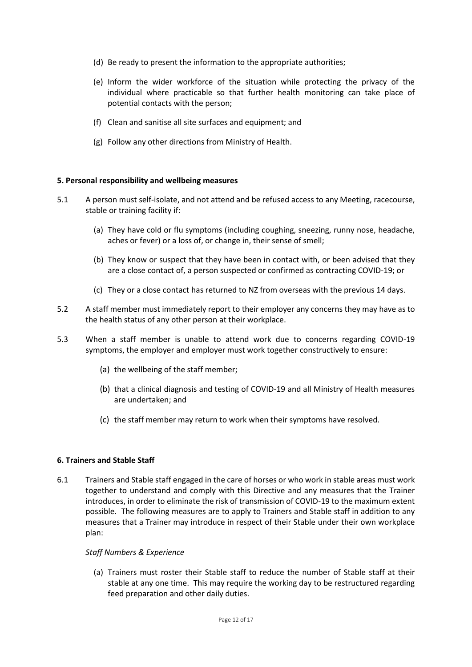- (d) Be ready to present the information to the appropriate authorities;
- (e) Inform the wider workforce of the situation while protecting the privacy of the individual where practicable so that further health monitoring can take place of potential contacts with the person;
- (f) Clean and sanitise all site surfaces and equipment; and
- (g) Follow any other directions from Ministry of Health.

# **5. Personal responsibility and wellbeing measures**

- 5.1 A person must self-isolate, and not attend and be refused access to any Meeting, racecourse, stable or training facility if:
	- (a) They have cold or flu symptoms (including coughing, sneezing, runny nose, headache, aches or fever) or a loss of, or change in, their sense of smell;
	- (b) They know or suspect that they have been in contact with, or been advised that they are a close contact of, a person suspected or confirmed as contracting COVID-19; or
	- (c) They or a close contact has returned to NZ from overseas with the previous 14 days.
- 5.2 A staff member must immediately report to their employer any concerns they may have as to the health status of any other person at their workplace.
- 5.3 When a staff member is unable to attend work due to concerns regarding COVID-19 symptoms, the employer and employer must work together constructively to ensure:
	- (a) the wellbeing of the staff member;
	- (b) that a clinical diagnosis and testing of COVID-19 and all Ministry of Health measures are undertaken; and
	- (c) the staff member may return to work when their symptoms have resolved.

# **6. Trainers and Stable Staff**

6.1 Trainers and Stable staff engaged in the care of horses or who work in stable areas must work together to understand and comply with this Directive and any measures that the Trainer introduces, in order to eliminate the risk of transmission of COVID-19 to the maximum extent possible. The following measures are to apply to Trainers and Stable staff in addition to any measures that a Trainer may introduce in respect of their Stable under their own workplace plan:

# *Staff Numbers & Experience*

(a) Trainers must roster their Stable staff to reduce the number of Stable staff at their stable at any one time. This may require the working day to be restructured regarding feed preparation and other daily duties.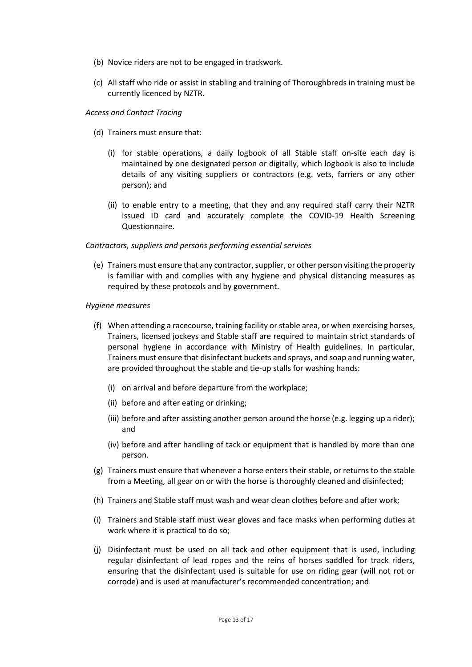- (b) Novice riders are not to be engaged in trackwork.
- (c) All staff who ride or assist in stabling and training of Thoroughbreds in training must be currently licenced by NZTR.

#### *Access and Contact Tracing*

- (d) Trainers must ensure that:
	- (i) for stable operations, a daily logbook of all Stable staff on-site each day is maintained by one designated person or digitally, which logbook is also to include details of any visiting suppliers or contractors (e.g. vets, farriers or any other person); and
	- (ii) to enable entry to a meeting, that they and any required staff carry their NZTR issued ID card and accurately complete the COVID-19 Health Screening Questionnaire.

#### *Contractors, suppliers and persons performing essential services*

(e) Trainers must ensure that any contractor,supplier, or other person visiting the property is familiar with and complies with any hygiene and physical distancing measures as required by these protocols and by government.

#### *Hygiene measures*

- (f) When attending a racecourse, training facility or stable area, or when exercising horses, Trainers, licensed jockeys and Stable staff are required to maintain strict standards of personal hygiene in accordance with Ministry of Health guidelines. In particular, Trainers must ensure that disinfectant buckets and sprays, and soap and running water, are provided throughout the stable and tie-up stalls for washing hands:
	- (i) on arrival and before departure from the workplace;
	- (ii) before and after eating or drinking;
	- (iii) before and after assisting another person around the horse (e.g. legging up a rider); and
	- (iv) before and after handling of tack or equipment that is handled by more than one person.
- (g) Trainers must ensure that whenever a horse enters their stable, or returns to the stable from a Meeting, all gear on or with the horse is thoroughly cleaned and disinfected;
- (h) Trainers and Stable staff must wash and wear clean clothes before and after work;
- (i) Trainers and Stable staff must wear gloves and face masks when performing duties at work where it is practical to do so;
- (j) Disinfectant must be used on all tack and other equipment that is used, including regular disinfectant of lead ropes and the reins of horses saddled for track riders, ensuring that the disinfectant used is suitable for use on riding gear (will not rot or corrode) and is used at manufacturer's recommended concentration; and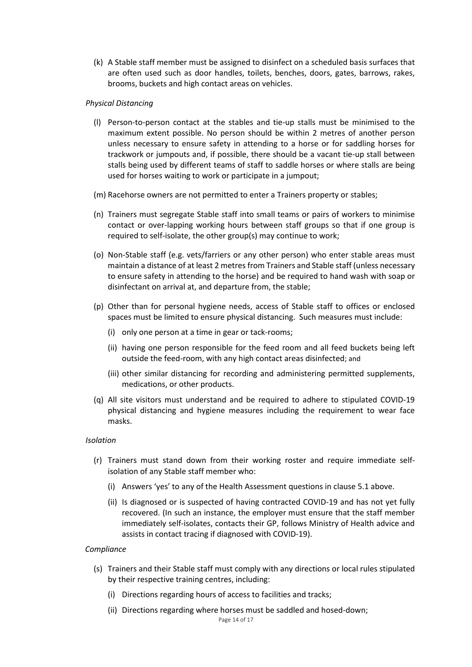(k) A Stable staff member must be assigned to disinfect on a scheduled basis surfaces that are often used such as door handles, toilets, benches, doors, gates, barrows, rakes, brooms, buckets and high contact areas on vehicles.

# *Physical Distancing*

- (l) Person-to-person contact at the stables and tie-up stalls must be minimised to the maximum extent possible. No person should be within 2 metres of another person unless necessary to ensure safety in attending to a horse or for saddling horses for trackwork or jumpouts and, if possible, there should be a vacant tie-up stall between stalls being used by different teams of staff to saddle horses or where stalls are being used for horses waiting to work or participate in a jumpout;
- (m) Racehorse owners are not permitted to enter a Trainers property or stables;
- (n) Trainers must segregate Stable staff into small teams or pairs of workers to minimise contact or over-lapping working hours between staff groups so that if one group is required to self-isolate, the other group(s) may continue to work;
- (o) Non-Stable staff (e.g. vets/farriers or any other person) who enter stable areas must maintain a distance of at least 2 metres from Trainers and Stable staff (unless necessary to ensure safety in attending to the horse) and be required to hand wash with soap or disinfectant on arrival at, and departure from, the stable;
- (p) Other than for personal hygiene needs, access of Stable staff to offices or enclosed spaces must be limited to ensure physical distancing. Such measures must include:
	- (i) only one person at a time in gear or tack-rooms;
	- (ii) having one person responsible for the feed room and all feed buckets being left outside the feed-room, with any high contact areas disinfected; and
	- (iii) other similar distancing for recording and administering permitted supplements, medications, or other products.
- (q) All site visitors must understand and be required to adhere to stipulated COVID-19 physical distancing and hygiene measures including the requirement to wear face masks.

#### *Isolation*

- (r) Trainers must stand down from their working roster and require immediate selfisolation of any Stable staff member who:
	- (i) Answers 'yes' to any of the Health Assessment questions in clause 5.1 above.
	- (ii) Is diagnosed or is suspected of having contracted COVID-19 and has not yet fully recovered. (In such an instance, the employer must ensure that the staff member immediately self-isolates, contacts their GP, follows Ministry of Health advice and assists in contact tracing if diagnosed with COVID-19).

#### *Compliance*

- (s) Trainers and their Stable staff must comply with any directions or local rules stipulated by their respective training centres, including:
	- (i) Directions regarding hours of access to facilities and tracks;
	- (ii) Directions regarding where horses must be saddled and hosed-down;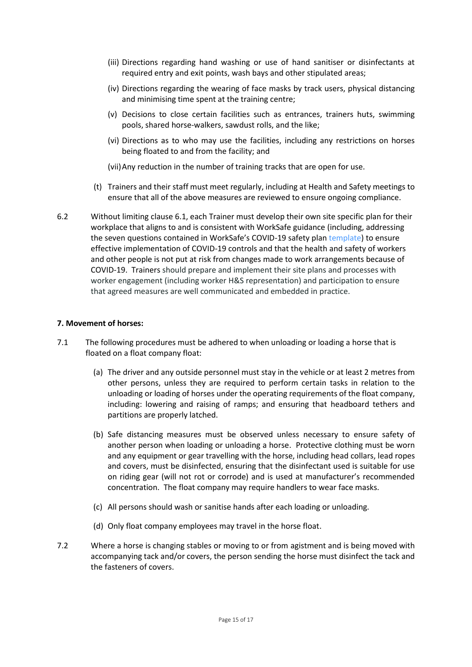- (iii) Directions regarding hand washing or use of hand sanitiser or disinfectants at required entry and exit points, wash bays and other stipulated areas;
- (iv) Directions regarding the wearing of face masks by track users, physical distancing and minimising time spent at the training centre;
- (v) Decisions to close certain facilities such as entrances, trainers huts, swimming pools, shared horse-walkers, sawdust rolls, and the like;
- (vi) Directions as to who may use the facilities, including any restrictions on horses being floated to and from the facility; and

(vii)Any reduction in the number of training tracks that are open for use.

- (t) Trainers and their staff must meet regularly, including at Health and Safety meetings to ensure that all of the above measures are reviewed to ensure ongoing compliance.
- 6.2 Without limiting clause 6.1, each Trainer must develop their own site specific plan for their workplace that aligns to and is consistent with WorkSafe guidance (including, addressing the seven questions contained in WorkSafe's COVID-19 safety plan [template\)](https://worksafe.govt.nz/dmsdocument/27557-covid-19-safely-plan-template-word-version/latest) to ensure effective implementation of COVID-19 controls and that the health and safety of workers and other people is not put at risk from changes made to work arrangements because of COVID-19. Trainers should prepare and implement their site plans and processes with worker engagement (including worker H&S representation) and participation to ensure that agreed measures are well communicated and embedded in practice.

# **7. Movement of horses:**

- 7.1 The following procedures must be adhered to when unloading or loading a horse that is floated on a float company float:
	- (a) The driver and any outside personnel must stay in the vehicle or at least 2 metres from other persons, unless they are required to perform certain tasks in relation to the unloading or loading of horses under the operating requirements of the float company, including: lowering and raising of ramps; and ensuring that headboard tethers and partitions are properly latched.
	- (b) Safe distancing measures must be observed unless necessary to ensure safety of another person when loading or unloading a horse. Protective clothing must be worn and any equipment or gear travelling with the horse, including head collars, lead ropes and covers, must be disinfected, ensuring that the disinfectant used is suitable for use on riding gear (will not rot or corrode) and is used at manufacturer's recommended concentration. The float company may require handlers to wear face masks.
	- (c) All persons should wash or sanitise hands after each loading or unloading.
	- (d) Only float company employees may travel in the horse float.
- 7.2 Where a horse is changing stables or moving to or from agistment and is being moved with accompanying tack and/or covers, the person sending the horse must disinfect the tack and the fasteners of covers.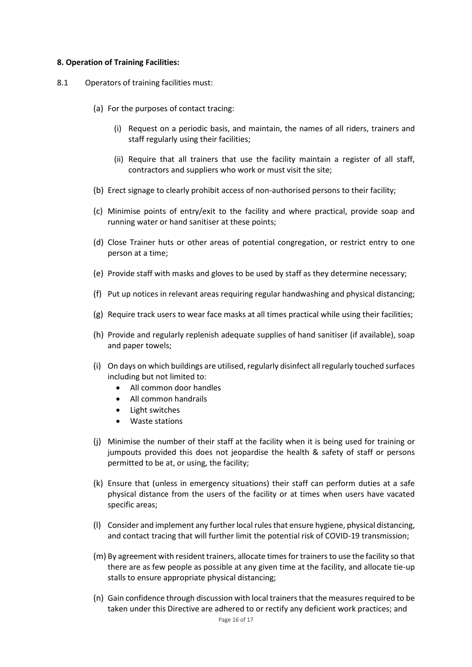#### **8. Operation of Training Facilities:**

- 8.1 Operators of training facilities must:
	- (a) For the purposes of contact tracing:
		- (i) Request on a periodic basis, and maintain, the names of all riders, trainers and staff regularly using their facilities;
		- (ii) Require that all trainers that use the facility maintain a register of all staff, contractors and suppliers who work or must visit the site;
	- (b) Erect signage to clearly prohibit access of non-authorised persons to their facility;
	- (c) Minimise points of entry/exit to the facility and where practical, provide soap and running water or hand sanitiser at these points;
	- (d) Close Trainer huts or other areas of potential congregation, or restrict entry to one person at a time;
	- (e) Provide staff with masks and gloves to be used by staff as they determine necessary;
	- (f) Put up notices in relevant areas requiring regular handwashing and physical distancing;
	- (g) Require track users to wear face masks at all times practical while using their facilities;
	- (h) Provide and regularly replenish adequate supplies of hand sanitiser (if available), soap and paper towels;
	- (i) On days on which buildings are utilised, regularly disinfect all regularly touched surfaces including but not limited to:
		- All common door handles
		- All common handrails
		- Light switches
		- Waste stations
	- (j) Minimise the number of their staff at the facility when it is being used for training or jumpouts provided this does not jeopardise the health & safety of staff or persons permitted to be at, or using, the facility;
	- (k) Ensure that (unless in emergency situations) their staff can perform duties at a safe physical distance from the users of the facility or at times when users have vacated specific areas;
	- (l) Consider and implement any further local rules that ensure hygiene, physical distancing, and contact tracing that will further limit the potential risk of COVID-19 transmission;
	- (m) By agreement with resident trainers, allocate times for trainers to use the facility so that there are as few people as possible at any given time at the facility, and allocate tie-up stalls to ensure appropriate physical distancing;
	- (n) Gain confidence through discussion with local trainers that the measures required to be taken under this Directive are adhered to or rectify any deficient work practices; and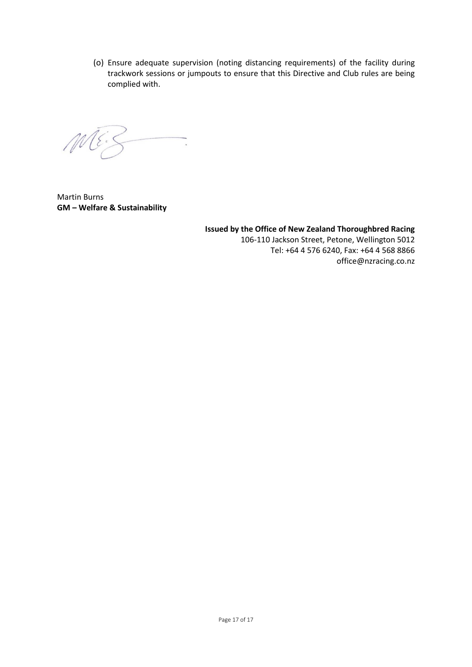(o) Ensure adequate supervision (noting distancing requirements) of the facility during trackwork sessions or jumpouts to ensure that this Directive and Club rules are being complied with.

 $M E$  $\overline{\phantom{a}}$ 

Martin Burns **GM – Welfare & Sustainability**

**Issued by the Office of New Zealand Thoroughbred Racing** 106-110 Jackson Street, Petone, Wellington 5012 Tel: +64 4 576 6240, Fax: +64 4 568 8866 [office@nzracing.co.nz](mailto:office@nzracing.co.nz)